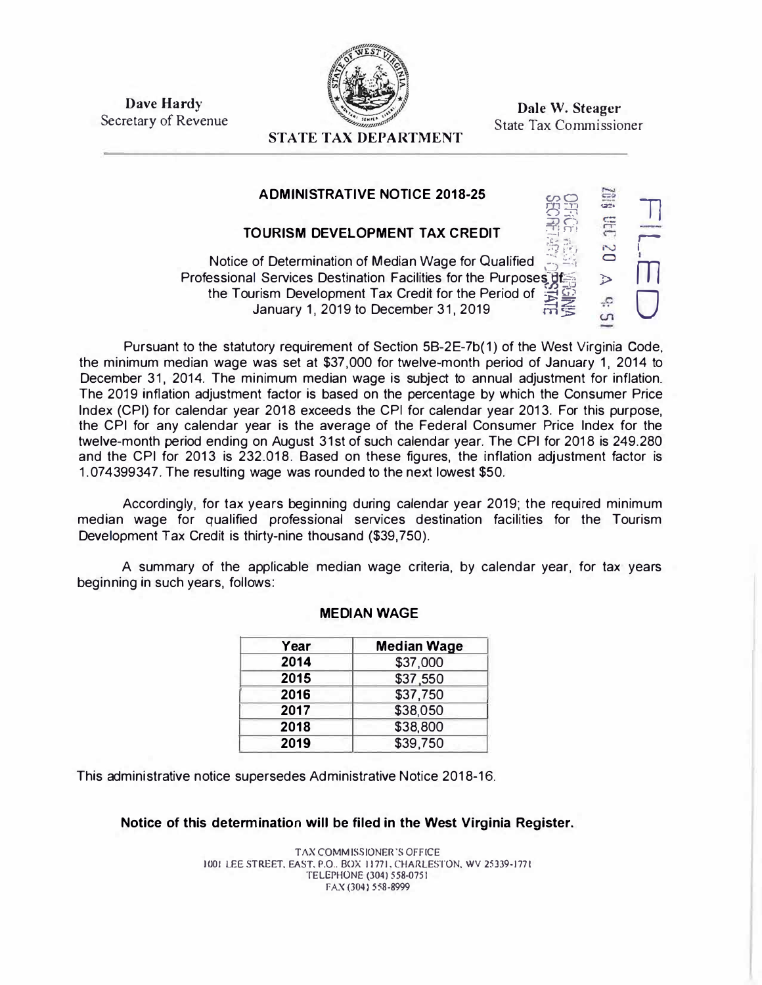**Dave Hardy**  Secretary of Revenue



**Dale W. Steagcr**  State Tax Commissioner

> $2.5$  $\Xi \odot$

=·

 $\Box$ 

m

0

1 ,--

J>

ą.  $\epsilon$ n

## **STATE TAX DEPARTMENT**

## **ADMINISTRATIVE NOTICE 2018-25**

## **TOURISM DEVELOPMENT TAX CREDIT 2r <sup>n</sup>·i**

 $\frac{45}{22}$ **Notice of Determination of Median Wage for Qualified** Professional Services Destination Facilities for the Purposes the Tourism Development Tax Credit for the Period of January 1, 2019 to December 31, 2019

Pursuant to the statutory requirement of Section 58-2E-7b(1) of the West Virginia Code, the minimum median wage was set at \$37,000 for twelve-month period of January 1, 2014 to December 31, 2014. The minimum median wage is subject to annual adjustment for inflation. The 2019 inflation adjustment factor is based on the percentage by which the Consumer Price Index (CPI) for calendar year 2018 exceeds the CPI for calendar year 2013. For this purpose, the CPI for any calendar year is the average of the Federal Consumer Price Index for the twelve-month period ending on August 31st of such calendar year. The CPI for 2018 is 249.280 and the CPI for 2013 is 232.018. Based on these figures, the inflation adjustment factor is 1.074399347. The resulting wage was rounded to the next lowest \$50.

Accordingly, for tax years beginning during calendar year 2019; the required minimum median wage for qualified professional services destination facilities for the Tourism Development Tax Credit is thirty-nine thousand (\$39,750).

A summary of the applicable median wage criteria, by calendar year, for tax years beginning in such years, follows:

| Year | <b>Median Wage</b> |
|------|--------------------|
| 2014 | \$37,000           |
| 2015 | \$37,550           |
| 2016 | \$37,750           |
| 2017 | \$38,050           |
| 2018 | \$38,800           |
| 2019 | \$39,750           |

## **MEDIAN WAGE**

This administrative notice supersedes Administrative Notice 2018-16.

**Notice of this determination will be filed in the West Virginia Register.** 

TAX COMMISSIONER'S OFFICE IOOI LEE STREET. EAST. P.O .. BOX 11771. CHARLESTON. WV 25339-1771 TELEPHONE (304) 558-0751 **FAX (304)** 558-8999